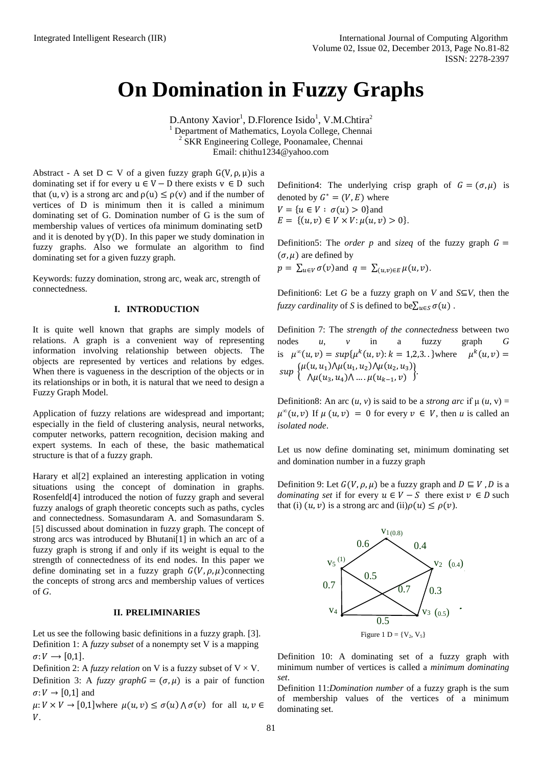# **On Domination in Fuzzy Graphs**

 $D$ .Antony Xavior<sup>1</sup>, D.Florence Isido<sup>1</sup>, V.M.Chtira<sup>2</sup> <sup>1</sup> Department of Mathematics, Loyola College, Chennai <sup>2</sup> SKR Engineering College, Poonamalee, Chennai Email: chithu1234@yahoo.com

Abstract - A set  $D \subset V$  of a given fuzzy graph  $G(V, \rho, \mu)$ is a dominating set if for every  $u \in V - D$  there exists  $v \in D$  such that (u, v) is a strong arc and  $\rho(u) \leq \rho(v)$  and if the number of vertices of D is minimum then it is called a minimum dominating set of G. Domination number of G is the sum of membership values of vertices ofa minimum dominating set and it is denoted by  $\gamma(D)$ . In this paper we study domination in fuzzy graphs. Also we formulate an algorithm to find dominating set for a given fuzzy graph.

Keywords: fuzzy domination, strong arc, weak arc, strength of connectedness.

## **I. INTRODUCTION**

It is quite well known that graphs are simply models of relations. A graph is a convenient way of representing information involving relationship between objects. The objects are represented by vertices and relations by edges. When there is vagueness in the description of the objects or in its relationships or in both, it is natural that we need to design a Fuzzy Graph Model.

Application of fuzzy relations are widespread and important; especially in the field of clustering analysis, neural networks, computer networks, pattern recognition, decision making and expert systems. In each of these, the basic mathematical structure is that of a fuzzy graph.

Harary et al[2] explained an interesting application in voting situations using the concept of domination in graphs. Rosenfeld[4] introduced the notion of fuzzy graph and several fuzzy analogs of graph theoretic concepts such as paths, cycles and connectedness. Somasundaram A. and Somasundaram S. [5] discussed about domination in fuzzy graph. The concept of strong arcs was introduced by Bhutani[1] in which an arc of a fuzzy graph is strong if and only if its weight is equal to the strength of connectedness of its end nodes. In this paper we define dominating set in a fuzzy graph  $G(V, \rho, \mu)$ connecting the concepts of strong arcs and membership values of vertices of *G*.

## **II. PRELIMINARIES**

Let us see the following basic definitions in a fuzzy graph. [3]. Definition 1: A *fuzzy subset* of a nonempty set V is a mapping  $\sigma: V \longrightarrow [0.1]$ .

Definition 2: A *fuzzy relation* on V is a fuzzy subset of  $V \times V$ . Definition 3: A *fuzzy graph*  $G = (\sigma, \mu)$  is a pair of function  $\sigma: V \rightarrow [0,1]$  and

 $\mu: V \times V \to [0, 1]$  where  $\mu(u, v) \leq \sigma(u) \wedge \sigma(v)$  for all  $u, v \in$  $V$ .

Definition4: The underlying crisp graph of  $G = (\sigma, \mu)$  is denoted by  $G^* = (V, E)$  where  $V = \{ u \in V : \sigma(u) > 0 \}$ and  $E = \{(u, v) \in V \times V : \mu(u, v) > 0\}.$ 

Definition5: The *order p* and *sizeq* of the fuzzy graph  $G =$  $(\sigma, \mu)$  are defined by  $p = \sum_{u \in V} \sigma(v)$  and  $q = \sum_{(u,v) \in E} \mu(u, v)$ .

Definition6: Let *G* be a fuzzy graph on *V* and  $S \subseteq V$ , then the *fuzzy cardinality* of *S* is defined to be $\sum_{u \in S} \sigma(u)$ .

Definition 7: The *strength of the connectedness* between two nodes *u*, *v* in a fuzzy graph *G* is  $\mu^{\infty}(u, v) = \sup \{ \mu^{k}(u, v) : k = 1, 2, 3, \ldots \}$  where  $k(u, v) =$  $\sup \left\{ \mu(u, u_1) \wedge \mu(u_1, u_2) \wedge \mu(u_2, u_3) \right\}$  $\lambda \mu(u_3, u_4) \lambda ... \mu(u_{k-1}, v)$ 

Definition8: An arc  $(u, v)$  is said to be a *strong arc* if  $\mu(u, v)$  =  $\mu^{\infty}(u, v)$  If  $\mu(u, v) = 0$  for every  $v \in V$ , then *u* is called an *isolated node*.

Let us now define dominating set, minimum dominating set and domination number in a fuzzy graph

Definition 9: Let  $G(V, \rho, \mu)$  be a fuzzy graph and  $D \subseteq V$ , D is a *dominating set* if for every  $u \in V - S$  there exist  $v \in D$  such that (i)  $(u, v)$  is a strong arc and (ii) $\rho(u) \leq \rho(v)$ .



Definition 10: A dominating set of a fuzzy graph with minimum number of vertices is called a *minimum dominating set*.

Definition 11:*Domination number* of a fuzzy graph is the sum of membership values of the vertices of a minimum dominating set.